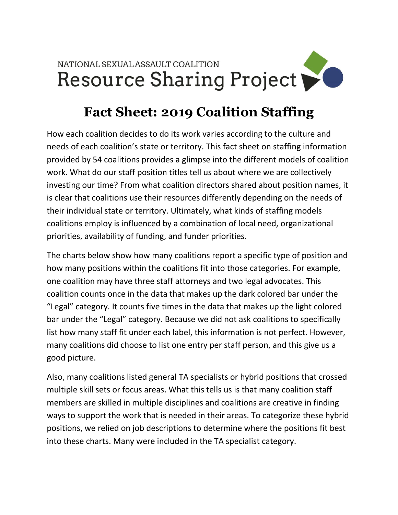

## **Fact Sheet: 2019 Coalition Staffing**

How each coalition decides to do its work varies according to the culture and needs of each coalition's state or territory. This fact sheet on staffing information provided by 54 coalitions provides a glimpse into the different models of coalition work. What do our staff position titles tell us about where we are collectively investing our time? From what coalition directors shared about position names, it is clear that coalitions use their resources differently depending on the needs of their individual state or territory. Ultimately, what kinds of staffing models coalitions employ is influenced by a combination of local need, organizational priorities, availability of funding, and funder priorities.

The charts below show how many coalitions report a specific type of position and how many positions within the coalitions fit into those categories. For example, one coalition may have three staff attorneys and two legal advocates. This coalition counts once in the data that makes up the dark colored bar under the "Legal" category. It counts five times in the data that makes up the light colored bar under the "Legal" category. Because we did not ask coalitions to specifically list how many staff fit under each label, this information is not perfect. However, many coalitions did choose to list one entry per staff person, and this give us a good picture.

Also, many coalitions listed general TA specialists or hybrid positions that crossed multiple skill sets or focus areas. What this tells us is that many coalition staff members are skilled in multiple disciplines and coalitions are creative in finding ways to support the work that is needed in their areas. To categorize these hybrid positions, we relied on job descriptions to determine where the positions fit best into these charts. Many were included in the TA specialist category.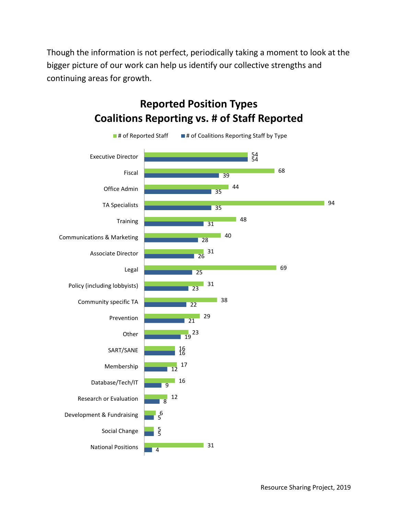Though the information is not perfect, periodically taking a moment to look at the bigger picture of our work can help us identify our collective strengths and continuing areas for growth.



## **Reported Position Types Coalitions Reporting vs. # of Staff Reported**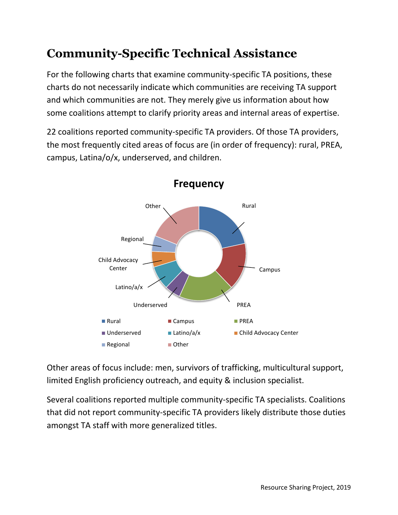## **Community-Specific Technical Assistance**

For the following charts that examine community-specific TA positions, these charts do not necessarily indicate which communities are receiving TA support and which communities are not. They merely give us information about how some coalitions attempt to clarify priority areas and internal areas of expertise.

22 coalitions reported community-specific TA providers. Of those TA providers, the most frequently cited areas of focus are (in order of frequency): rural, PREA, campus, Latina/o/x, underserved, and children.



**Frequency**

Other areas of focus include: men, survivors of trafficking, multicultural support, limited English proficiency outreach, and equity & inclusion specialist.

Several coalitions reported multiple community-specific TA specialists. Coalitions that did not report community-specific TA providers likely distribute those duties amongst TA staff with more generalized titles.